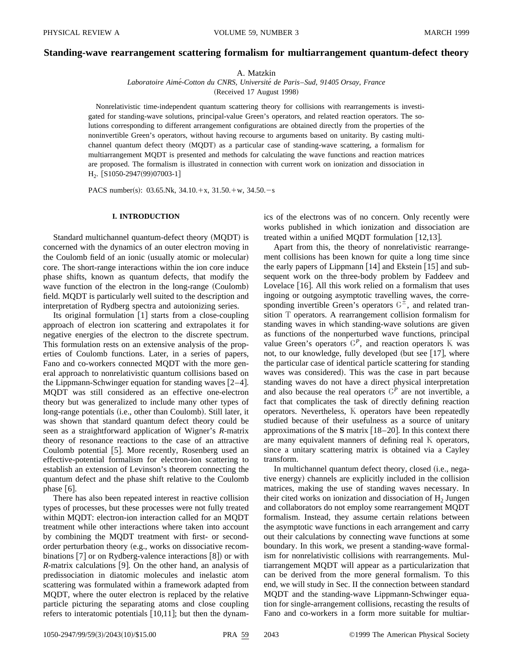# **Standing-wave rearrangement scattering formalism for multiarrangement quantum-defect theory**

A. Matzkin

*Laboratoire Aime´-Cotton du CNRS, Universite´ de Paris*–*Sud, 91405 Orsay, France*

(Received 17 August 1998)

Nonrelativistic time-independent quantum scattering theory for collisions with rearrangements is investigated for standing-wave solutions, principal-value Green's operators, and related reaction operators. The solutions corresponding to different arrangement configurations are obtained directly from the properties of the noninvertible Green's operators, without having recourse to arguments based on unitarity. By casting multichannel quantum defect theory (MQDT) as a particular case of standing-wave scattering, a formalism for multiarrangement MQDT is presented and methods for calculating the wave functions and reaction matrices are proposed. The formalism is illustrated in connection with current work on ionization and dissociation in  $H_2$ . [S1050-2947(99)07003-1]

PACS number(s): 03.65.Nk,  $34.10.+x$ ,  $31.50.+w$ ,  $34.50.-s$ 

### **I. INTRODUCTION**

Standard multichannel quantum-defect theory (MQDT) is concerned with the dynamics of an outer electron moving in the Coulomb field of an ionic (usually atomic or molecular) core. The short-range interactions within the ion core induce phase shifts, known as quantum defects, that modify the wave function of the electron in the long-range  $(Coulomb)$ field. MQDT is particularly well suited to the description and interpretation of Rydberg spectra and autoionizing series.

Its original formulation  $[1]$  starts from a close-coupling approach of electron ion scattering and extrapolates it for negative energies of the electron to the discrete spectrum. This formulation rests on an extensive analysis of the properties of Coulomb functions. Later, in a series of papers, Fano and co-workers connected MQDT with the more general approach to nonrelativistic quantum collisions based on the Lippmann-Schwinger equation for standing waves  $[2-4]$ . MQDT was still considered as an effective one-electron theory but was generalized to include many other types of long-range potentials (i.e., other than Coulomb). Still later, it was shown that standard quantum defect theory could be seen as a straightforward application of Wigner's *R*-matrix theory of resonance reactions to the case of an attractive Coulomb potential [5]. More recently, Rosenberg used an effective-potential formalism for electron-ion scattering to establish an extension of Levinson's theorem connecting the quantum defect and the phase shift relative to the Coulomb phase  $[6]$ .

There has also been repeated interest in reactive collision types of processes, but these processes were not fully treated within MQDT: electron-ion interaction called for an MQDT treatment while other interactions where taken into account by combining the MQDT treatment with first- or secondorder perturbation theory (e.g., works on dissociative recombinations  $[7]$  or on Rydberg-valence interactions  $[8]$  or with  $R$ -matrix calculations [9]. On the other hand, an analysis of predissociation in diatomic molecules and inelastic atom scattering was formulated within a framework adapted from MQDT, where the outer electron is replaced by the relative particle picturing the separating atoms and close coupling refers to interatomic potentials  $[10,11]$ ; but then the dynamics of the electrons was of no concern. Only recently were works published in which ionization and dissociation are treated within a unified MQDT formulation  $[12,13]$ .

Apart from this, the theory of nonrelativistic rearrangement collisions has been known for quite a long time since the early papers of Lippmann  $[14]$  and Ekstein  $[15]$  and subsequent work on the three-body problem by Faddeev and Lovelace  $[16]$ . All this work relied on a formalism that uses ingoing or outgoing asymptotic travelling waves, the corresponding invertible Green's operators  $G^{\pm}$ , and related transition T operators. A rearrangement collision formalism for standing waves in which standing-wave solutions are given as functions of the nonperturbed wave functions, principal value Green's operators  $G<sup>P</sup>$ , and reaction operators K was not, to our knowledge, fully developed (but see  $[17]$ , where the particular case of identical particle scattering for standing waves was considered). This was the case in part because standing waves do not have a direct physical interpretation and also because the real operators  $G<sup>P</sup>$  are not invertible, a fact that complicates the task of directly defining reaction operators. Nevertheless, K operators have been repeatedly studied because of their usefulness as a source of unitary approximations of the  $S$  matrix  $[18–20]$ . In this context there are many equivalent manners of defining real K operators, since a unitary scattering matrix is obtained via a Cayley transform.

In multichannel quantum defect theory, closed (i.e., negative energy) channels are explicitly included in the collision matrices, making the use of standing waves necessary. In their cited works on ionization and dissociation of  $H<sub>2</sub>$  Jungen and collaborators do not employ some rearrangement MQDT formalism. Instead, they assume certain relations between the asymptotic wave functions in each arrangement and carry out their calculations by connecting wave functions at some boundary. In this work, we present a standing-wave formalism for nonrelativistic collisions with rearrangements. Multiarrangement MQDT will appear as a particularization that can be derived from the more general formalism. To this end, we will study in Sec. II the connection between standard MQDT and the standing-wave Lippmann-Schwinger equation for single-arrangement collisions, recasting the results of Fano and co-workers in a form more suitable for multiar-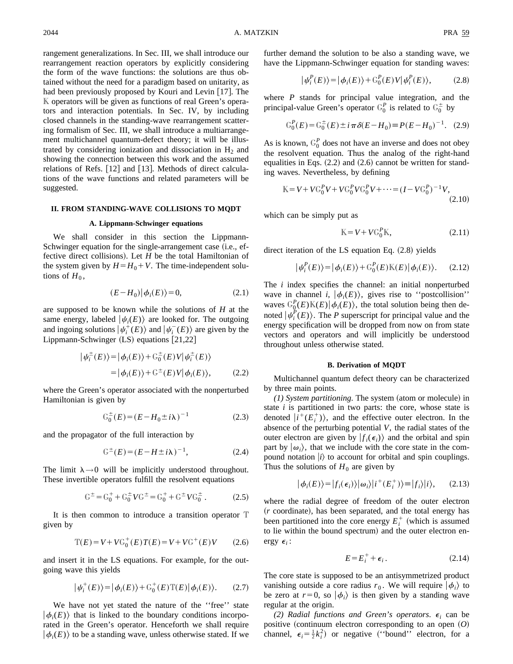rangement generalizations. In Sec. III, we shall introduce our rearrangement reaction operators by explicitly considering the form of the wave functions: the solutions are thus obtained without the need for a paradigm based on unitarity, as had been previously proposed by Kouri and Levin  $[17]$ . The K operators will be given as functions of real Green's operators and interaction potentials. In Sec. IV, by including closed channels in the standing-wave rearrangement scattering formalism of Sec. III, we shall introduce a multiarrangement multichannel quantum-defect theory; it will be illustrated by considering ionization and dissociation in  $H_2$  and showing the connection between this work and the assumed relations of Refs.  $[12]$  and  $[13]$ . Methods of direct calculations of the wave functions and related parameters will be suggested.

## **II. FROM STANDING-WAVE COLLISIONS TO MQDT**

#### **A. Lippmann-Schwinger equations**

We shall consider in this section the Lippmann-Schwinger equation for the single-arrangement case (i.e., effective direct collisions). Let *H* be the total Hamiltonian of the system given by  $H = H_0 + V$ . The time-independent solutions of  $H_0$ ,

$$
(E - H_0) |\phi_i(E)\rangle = 0, \tag{2.1}
$$

are supposed to be known while the solutions of *H* at the same energy, labeled  $|\psi_i(E)\rangle$  are looked for. The outgoing and ingoing solutions  $|\psi_i^+(E)\rangle$  and  $|\psi_i^-(E)\rangle$  are given by the Lippmann-Schwinger  $(LS)$  equations  $[21,22]$ 

$$
\begin{aligned} \left| \psi_i^{\pm}(E) \right\rangle &= \left| \phi_i(E) \right\rangle + \mathbb{G}_0^{\pm}(E) V \left| \psi_i^{\pm}(E) \right\rangle \\ &= \left| \phi_i(E) \right\rangle + \mathbb{G}^{\pm}(E) V \left| \phi_i(E) \right\rangle, \end{aligned} \tag{2.2}
$$

where the Green's operator associated with the nonperturbed Hamiltonian is given by

$$
G_0^{\pm}(E) = (E - H_0 \pm i\lambda)^{-1}
$$
 (2.3)

and the propagator of the full interaction by

$$
\mathbb{G}^{\pm}(E) = (E - H \pm i\lambda)^{-1}, \tag{2.4}
$$

The limit  $\lambda \rightarrow 0$  will be implicitly understood throughout. These invertible operators fulfill the resolvent equations

$$
G^{\pm} = G_0^+ + G_0^{\pm} V G^{\pm} = G_0^+ + G^{\pm} V G_0^{\pm} . \qquad (2.5)
$$

It is then common to introduce a transition operator T given by

$$
\mathbb{T}(E) = V + V\mathbb{G}_0^+(E)T(E) = V + V\mathbb{G}^+(E)V \qquad (2.6)
$$

and insert it in the LS equations. For example, for the outgoing wave this yields

$$
|\psi_i^+(E)\rangle = |\phi_i(E)\rangle + \mathbb{G}_0^+(E)\mathbb{T}(E)|\phi_i(E)\rangle. \tag{2.7}
$$

We have not yet stated the nature of the ''free'' state  $|\phi_i(E)\rangle$  that is linked to the boundary conditions incorporated in the Green's operator. Henceforth we shall require  $|\phi_i(E)\rangle$  to be a standing wave, unless otherwise stated. If we further demand the solution to be also a standing wave, we have the Lippmann-Schwinger equation for standing waves:

$$
|\psi_i^P(E)\rangle = |\phi_i(E)\rangle + \mathcal{G}_0^P(E)V|\psi_i^P(E)\rangle, \tag{2.8}
$$

where *P* stands for principal value integration, and the principal-value Green's operator  $G_0^P$  is related to  $G_0^{\pm}$  by

$$
\mathcal{G}_0^P(E) = \mathcal{G}_0^{\pm}(E) \pm i \pi \delta(E - H_0) = P(E - H_0)^{-1}.
$$
 (2.9)

As is known,  $G_0^P$  does not have an inverse and does not obey the resolvent equation. Thus the analog of the right-hand equalities in Eqs.  $(2.2)$  and  $(2.6)$  cannot be written for standing waves. Nevertheless, by defining

$$
K = V + V C_0^P V + V C_0^P V C_0^P V + \dots = (I - V C_0^P)^{-1} V,
$$
\n(2.10)

which can be simply put as

$$
\mathbb{K} = V + V \mathbb{G}_0^P \mathbb{K},\tag{2.11}
$$

direct iteration of the LS equation Eq.  $(2.8)$  yields

$$
\left|\psi_i^P(E)\right\rangle = \left|\phi_i(E)\right\rangle + \mathcal{G}_0^P(E)\mathbb{K}(E)\left|\phi_i(E)\right\rangle. \tag{2.12}
$$

The *i* index specifies the channel: an initial nonperturbed wave in channel *i*,  $|\phi_i(E)\rangle$ , gives rise to "postcollision" waves  $\mathbb{G}_{0}^{P}(E)\mathbb{K}(E)|\phi_{i}(E)\rangle$ , the total solution being then denoted  $|\psi_i^P(E)\rangle$ . The *P* superscript for principal value and the energy specification will be dropped from now on from state vectors and operators and will implicitly be understood throughout unless otherwise stated.

#### **B. Derivation of MQDT**

Multichannel quantum defect theory can be characterized by three main points.

 $(1)$  System partitioning. The system (atom or molecule) in state *i* is partitioned in two parts: the core, whose state is denoted  $|i^+(E_i^+)\rangle$ , and the effective outer electron. In the absence of the perturbing potential *V*, the radial states of the outer electron are given by  $|f_i(\epsilon_i)\rangle$  and the orbital and spin part by  $|\omega_i\rangle$ , that we include with the core state in the compound notation  $|i\rangle$  to account for orbital and spin couplings. Thus the solutions of  $H_0$  are given by

$$
|\phi_i(E)\rangle = |f_i(\epsilon_i)\rangle |\omega_i\rangle |i^+(E_i^+)\rangle = |f_i\rangle |i\rangle, \qquad (2.13)
$$

where the radial degree of freedom of the outer electron (*r* coordinate), has been separated, and the total energy has been partitioned into the core energy  $E_i^+$  (which is assumed to lie within the bound spectrum) and the outer electron energy  $\epsilon_i$ :

$$
E = E_i^+ + \epsilon_i \,. \tag{2.14}
$$

The core state is supposed to be an antisymmetrized product vanishing outside a core radius  $r_0$ . We will require  $|\phi_i\rangle$  to be zero at  $r=0$ , so  $|\phi_i\rangle$  is then given by a standing wave regular at the origin.

*(2) Radial functions and Green's operators.*  $\epsilon_i$  can be positive (continuum electron corresponding to an open  $(O)$ channel,  $\epsilon_i = \frac{1}{2}k_i^2$  or negative ("bound" electron, for a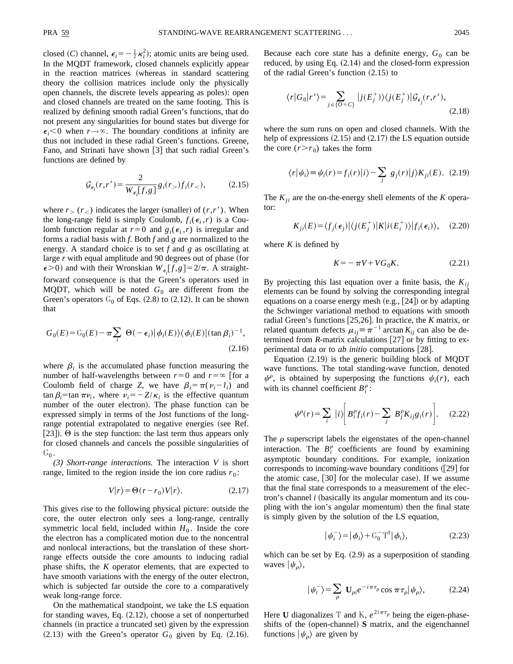closed (*C*) channel,  $\epsilon_i = -\frac{1}{2} \kappa_i^2$ ); atomic units are being used. In the MQDT framework, closed channels explicitly appear in the reaction matrices (whereas in standard scattering theory the collision matrices include only the physically open channels, the discrete levels appearing as poles): open and closed channels are treated on the same footing. This is realized by defining smooth radial Green's functions, that do not present any singularities for bound states but diverge for  $\epsilon_i$ <0 when  $r \rightarrow \infty$ . The boundary conditions at infinity are thus not included in these radial Green's functions. Greene, Fano, and Strinati have shown  $\lceil 3 \rceil$  that such radial Green's functions are defined by

$$
\mathcal{G}_{\epsilon_i}(r,r') = \frac{2}{W_{\epsilon_i}[f,g]} g_i(r) f_i(r) \tag{2.15}
$$

where  $r_>(r_*)$  indicates the larger (smaller) of  $(r,r')$ . When the long-range field is simply Coulomb,  $f_i(\epsilon_i, r)$  is a Coulomb function regular at  $r=0$  and  $g_i(\epsilon_i, r)$  is irregular and forms a radial basis with *f*. Both *f* and *g* are normalized to the energy. A standard choice is to set *f* and *g* as oscillating at large *r* with equal amplitude and 90 degrees out of phase (for  $\epsilon$  >0) and with their Wronskian  $W_{\epsilon_i}[f,g] = 2/\pi$ . A straightforward consequence is that the Green's operators used in MQDT, which will be noted  $G_0$  are different from the Green's operators  $G_0$  of Eqs. (2.8) to (2.12). It can be shown that

$$
G_0(E) = G_0(E) - \pi \sum_i \Theta(-\epsilon_i) |\phi_i(E)\rangle \langle \phi_i(E)| (\tan \beta_i)^{-1},
$$
\n(2.16)

where  $\beta_i$  is the accumulated phase function measuring the number of half-wavelengths between  $r=0$  and  $r=\infty$  [for a Coulomb field of charge *Z*, we have  $\beta_i = \pi(v_i - l_i)$  and  $\tan \beta_i = \tan \pi \nu_i$ , where  $\nu_i = -Z/\kappa_i$  is the effective quantum number of the outer electron). The phase function can be expressed simply in terms of the Jost functions of the longrange potential extrapolated to negative energies (see Ref. [23]).  $\Theta$  is the step function: the last term thus appears only for closed channels and cancels the possible singularities of  $G_0$ .

*(3) Short-range interactions.* The interaction *V* is short range, limited to the region inside the ion core radius  $r_0$ :

$$
V|r\rangle = \Theta(r - r_0)V|r\rangle.
$$
 (2.17)

This gives rise to the following physical picture: outside the core, the outer electron only sees a long-range, centrally symmetric local field, included within  $H_0$ . Inside the core the electron has a complicated motion due to the noncentral and nonlocal interactions, but the translation of these shortrange effects outside the core amounts to inducing radial phase shifts, the *K* operator elements, that are expected to have smooth variations with the energy of the outer electron, which is subjected far outside the core to a comparatively weak long-range force.

On the mathematical standpoint, we take the LS equation for standing waves, Eq.  $(2.12)$ , choose a set of nonperturbed channels (in practice a truncated set) given by the expression  $(2.13)$  with the Green's operator  $G_0$  given by Eq.  $(2.16)$ . Because each core state has a definite energy,  $G_0$  can be reduced, by using Eq.  $(2.14)$  and the closed-form expression of the radial Green's function  $(2.15)$  to

$$
\langle r|G_0|r'\rangle = \sum_{j\in\{O+C\}}|j(E_j^+)\rangle\langle j(E_j^+)|\mathcal{G}_{\epsilon_j}(r,r'),\tag{2.18}
$$

where the sum runs on open and closed channels. With the help of expressions  $(2.15)$  and  $(2.17)$  the LS equation outside the core  $(r > r_0)$  takes the form

$$
\langle r|\psi_i\rangle \equiv \psi_i(r) = f_i(r)|i\rangle - \sum_j g_j(r)|j\rangle K_{ji}(E). \tag{2.19}
$$

The  $K_{ji}$  are the on-the-energy shell elements of the  $K$  operator:

$$
K_{ji}(E) = \langle f_j(\epsilon_j) | \langle j(E_j^+) | K | i(E_i^+) \rangle | f_i(\epsilon_i) \rangle, \quad (2.20)
$$

where  $K$  is defined by

$$
K = -\pi V + V G_0 K. \tag{2.21}
$$

By projecting this last equation over a finite basis, the  $K_{ii}$ elements can be found by solving the corresponding integral equations on a coarse energy mesh  $(e.g., [24])$  or by adapting the Schwinger variational method to equations with smooth radial Green's functions [25,26]. In practice, the *K* matrix, or related quantum defects  $\mu_{ij} \equiv \pi^{-1}$  arctan  $K_{ij}$  can also be determined from  $$ perimental data or to *ab initio* computations [28].

Equation  $(2.19)$  is the generic building block of MQDT wave functions. The total standing-wave function, denoted  $\psi^{\rho}$ , is obtained by superposing the functions  $\psi_i(r)$ , each with its channel coefficient  $B_i^{\rho}$ :

$$
\psi^{\rho}(r) = \sum_{i} |i\rangle \bigg[ B_{i}^{\rho} f_{i}(r) - \sum_{j} B_{j}^{\rho} K_{ij} g_{i}(r) \bigg]. \tag{2.22}
$$

The  $\rho$  superscript labels the eigenstates of the open-channel interaction. The  $B_i^{\rho}$  coefficients are found by examining asymptotic boundary conditions. For example, ionization corresponds to incoming-wave boundary conditions  $(29]$  for the atomic case,  $[30]$  for the molecular case). If we assume that the final state corresponds to a measurement of the electron's channel *i* (basically its angular momentum and its coupling with the ion's angular momentum) then the final state is simply given by the solution of the LS equation,

$$
|\psi_i^-\rangle = |\phi_i\rangle + \mathbb{G}_0^- \mathbb{T}^\dagger |\phi_i\rangle, \tag{2.23}
$$

which can be set by Eq.  $(2.9)$  as a superposition of standing waves  $|\psi_{\rho}\rangle$ ,

$$
|\psi_i^-\rangle = \sum_{\rho} \mathbf{U}_{\rho i} e^{-i\pi\tau_\rho} \cos \pi \tau_\rho |\psi_\rho\rangle, \tag{2.24}
$$

Here **U** diagonalizes T and K,  $e^{2i\pi\tau_p}$  being the eigen-phaseshifts of the (open-channel) **S** matrix, and the eigenchannel functions  $|\psi_{\rho}\rangle$  are given by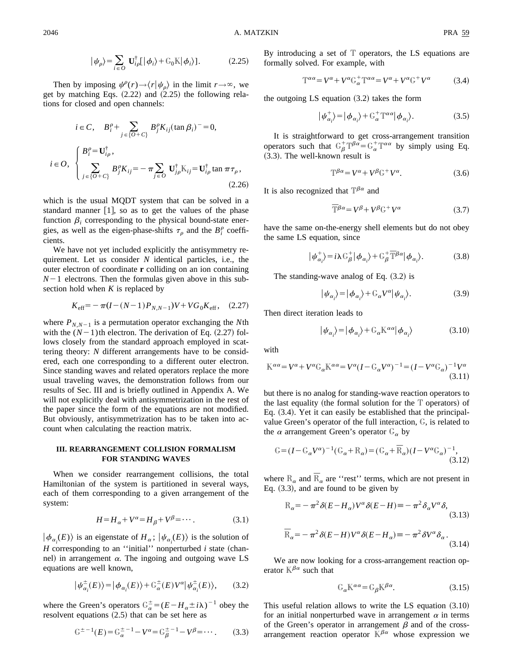Then by imposing  $\psi^{\rho}(r) \rightarrow \langle r | \psi_{\rho} \rangle$  in the limit  $r \rightarrow \infty$ , we get by matching Eqs.  $(2.22)$  and  $(2.25)$  the following relations for closed and open channels:

$$
i \in C, \quad B_i^{\rho} + \sum_{j \in \{O + C\}} B_j^{\rho} K_{ij} (\tan \beta_i)^{-} = 0,
$$
  

$$
i \in O, \quad \begin{cases} B_i^{\rho} = \mathbf{U}_{i\rho}^{\dagger}, \\ \sum_{j \in \{O + C\}} B_j^{\rho} K_{ij} = -\pi \sum_{j \in O} \mathbf{U}_{j\rho}^{\dagger} \mathbf{K}_{ij} = \mathbf{U}_{i\rho}^{\dagger} \tan \pi \tau_{\rho}, \end{cases}
$$
(2.26)

which is the usual MQDT system that can be solved in a standard manner  $[1]$ , so as to get the values of the phase function  $\beta_i$  corresponding to the physical bound-state energies, as well as the eigen-phase-shifts  $\tau_{\rho}$  and the  $B_i^{\rho}$  coefficients.

We have not yet included explicitly the antisymmetry requirement. Let us consider *N* identical particles, i.e., the outer electron of coordinate **r** colliding on an ion containing  $N-1$  electrons. Then the formulas given above in this subsection hold when *K* is replaced by

$$
K_{\text{eff}} = -\pi (I - (N - 1)P_{N, N-1})V + VG_0K_{\text{eff}}, \quad (2.27)
$$

where  $P_{N,N-1}$  is a permutation operator exchanging the *N*th with the  $(N-1)$ th electron. The derivation of Eq.  $(2.27)$  follows closely from the standard approach employed in scattering theory: *N* different arrangements have to be considered, each one corresponding to a different outer electron. Since standing waves and related operators replace the more usual traveling waves, the demonstration follows from our results of Sec. III and is briefly outlined in Appendix A. We will not explicitly deal with antisymmetrization in the rest of the paper since the form of the equations are not modified. But obviously, antisymmetrization has to be taken into account when calculating the reaction matrix.

## **III. REARRANGEMENT COLLISION FORMALISM FOR STANDING WAVES**

When we consider rearrangement collisions, the total Hamiltonian of the system is partitioned in several ways, each of them corresponding to a given arrangement of the system:

$$
H = H_{\alpha} + V^{\alpha} = H_{\beta} + V^{\beta} = \cdots. \tag{3.1}
$$

 $|\phi_{\alpha_i}(E)\rangle$  is an eigenstate of  $H_\alpha$ ;  $|\psi_{\alpha_i}(E)\rangle$  is the solution of  $H$  corresponding to an "initial" nonperturbed  $i$  state (channel) in arrangement  $\alpha$ . The ingoing and outgoing wave LS equations are well known,

$$
\left|\psi_{\alpha_i}^{\pm}(E)\right\rangle = \left|\phi_{\alpha_i}(E)\right\rangle + \mathcal{G}_{\alpha}^{\pm}(E)V^{\alpha}\left|\psi_{\alpha_i}^{\pm}(E)\right\rangle, \tag{3.2}
$$

where the Green's operators  $G_{\alpha}^{\pm} = (E - H_{\alpha} \pm i\lambda)^{-1}$  obey the resolvent equations  $(2.5)$  that can be set here as

$$
\mathbb{G}^{\pm -1}(E) = \mathbb{G}_{\alpha}^{\pm -1} - V^{\alpha} = \mathbb{G}_{\beta}^{\pm -1} - V^{\beta} = \cdots. \tag{3.3}
$$

By introducing a set of  $T$  operators, the LS equations are formally solved. For example, with

$$
\mathbb{T}^{\alpha\alpha} = V^{\alpha} + V^{\alpha} \mathbb{G}_{\alpha}^{+} \mathbb{T}^{\alpha\alpha} = V^{\alpha} + V^{\alpha} \mathbb{G}^{+} V^{\alpha} \tag{3.4}
$$

the outgoing  $LS$  equation  $(3.2)$  takes the form

$$
|\psi_{\alpha_i}^+\rangle = |\phi_{\alpha_i}\rangle + \mathbb{G}_\alpha^+ \mathbb{T}^{\alpha \alpha} |\phi_{\alpha_i}\rangle. \tag{3.5}
$$

It is straightforward to get cross-arrangement transition operators such that  $G_{\beta}^{+}T^{\beta\alpha} = G_{\alpha}^{+}T^{\alpha\alpha}$  by simply using Eq.  $(3.3)$ . The well-known result is

$$
\mathbb{T}^{\beta\alpha} = V^{\alpha} + V^{\beta} \mathbb{G}^+ V^{\alpha}.
$$
 (3.6)

It is also recognized that  $\mathbb{T}^{\beta\alpha}$  and

$$
\overline{T}^{\beta\alpha} = V^{\beta} + V^{\beta} G^{+} V^{\alpha} \tag{3.7}
$$

have the same on-the-energy shell elements but do not obey the same LS equation, since

$$
|\psi_{\alpha_i}^+\rangle = i\lambda G_{\beta}^+ |\phi_{\alpha_i}\rangle + G_{\beta}^+ \bar{T}^{\beta \alpha} |\phi_{\alpha_i}\rangle.
$$
 (3.8)

The standing-wave analog of Eq.  $(3.2)$  is

$$
|\psi_{\alpha_i}\rangle = |\phi_{\alpha_i}\rangle + \mathbb{G}_{\alpha}V^{\alpha}|\psi_{\alpha_i}\rangle. \tag{3.9}
$$

Then direct iteration leads to

$$
|\psi_{\alpha_i}\rangle = |\phi_{\alpha_i}\rangle + \mathbb{G}_{\alpha} \mathbb{K}^{\alpha \alpha} |\phi_{\alpha_i}\rangle \tag{3.10}
$$

with

$$
\mathbb{K}^{\alpha\alpha} = V^{\alpha} + V^{\alpha}\mathbb{G}_{\alpha}\mathbb{K}^{\alpha\alpha} = V^{\alpha}(I - \mathbb{G}_{\alpha}V^{\alpha})^{-1} = (I - V^{\alpha}\mathbb{G}_{\alpha})^{-1}V^{\alpha}
$$
\n(3.11)

but there is no analog for standing-wave reaction operators to the last equality (the formal solution for the  $T$  operators) of Eq.  $(3.4)$ . Yet it can easily be established that the principalvalue Green's operator of the full interaction, G, is related to the  $\alpha$  arrangement Green's operator  $G_{\alpha}$  by

$$
G = (I - G_{\alpha}V^{\alpha})^{-1}(G_{\alpha} + R_{\alpha}) = (G_{\alpha} + \bar{R}_{\alpha})(I - V^{\alpha}G_{\alpha})^{-1},
$$
\n(3.12)

where  $\mathbb{R}_{\alpha}$  and  $\overline{\mathbb{R}}_{\alpha}$  are "rest" terms, which are not present in Eq.  $(3.3)$ , and are found to be given by

$$
\mathcal{R}_{\alpha} = -\pi^2 \delta (E - H_{\alpha}) V^{\alpha} \delta (E - H) = -\pi^2 \delta_{\alpha} V^{\alpha} \delta,
$$
\n(3.13)

$$
\mathbb{R}_{\alpha} = -\pi^2 \delta(E - H) V^{\alpha} \delta(E - H_{\alpha}) = -\pi^2 \delta V^{\alpha} \delta_{\alpha}.
$$
\n(3.14)

We are now looking for a cross-arrangement reaction operator  $K^{\beta\alpha}$  such that

$$
\mathbb{G}_{\alpha}\mathbb{K}^{\alpha\alpha} = \mathbb{G}_{\beta}\mathbb{K}^{\beta\alpha}.\tag{3.15}
$$

This useful relation allows to write the LS equation  $(3.10)$ for an initial nonperturbed wave in arrangement  $\alpha$  in terms of the Green's operator in arrangement  $\beta$  and of the crossarrangement reaction operator  $\overline{K}^{\beta\alpha}$  whose expression we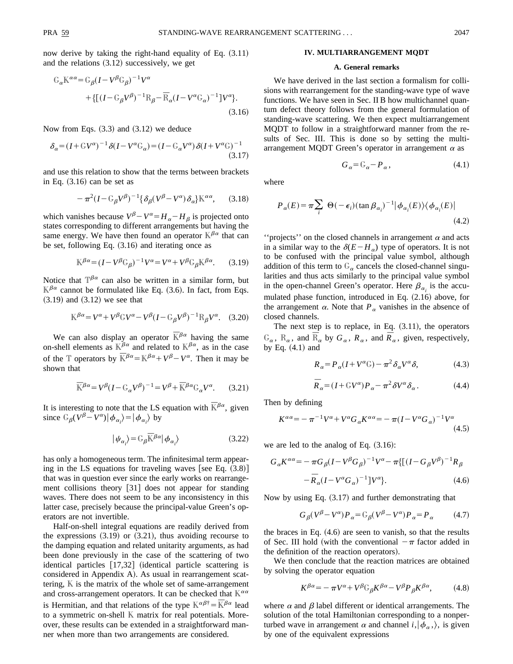now derive by taking the right-hand equality of Eq.  $(3.11)$ and the relations  $(3.12)$  successively, we get

$$
G_{\alpha}K^{\alpha\alpha} = G_{\beta}(I - V^{\beta}G_{\beta})^{-1}V^{\alpha}
$$
  
+{[(I - G\_{\beta}V^{\beta})^{-1}R\_{\beta} - \overline{R}\_{\alpha}(I - V^{\alpha}G\_{\alpha})^{-1}]V^{\alpha}}. (3.16)

Now from Eqs.  $(3.3)$  and  $(3.12)$  we deduce

$$
\delta_{\alpha} = (I + \mathbb{G}V^{\alpha})^{-1} \delta(I - V^{\alpha} \mathbb{G}_{\alpha}) = (I - \mathbb{G}_{\alpha}V^{\alpha}) \delta(I + V^{\alpha} \mathbb{G})^{-1}
$$
\n(3.17)

and use this relation to show that the terms between brackets in Eq.  $(3.16)$  can be set as

$$
-\pi^2 (I - G_{\beta} V^{\beta})^{-1} {\delta_{\beta} (V^{\beta} - V^{\alpha}) \delta_{\alpha}} K^{\alpha \alpha}, \qquad (3.18)
$$

which vanishes because  $V^{\beta} - V^{\alpha} = H_{\alpha} - H_{\beta}$  is projected onto states corresponding to different arrangements but having the same energy. We have then found an operator  $\mathbb{K}^{\beta\alpha}$  that can be set, following Eq.  $(3.16)$  and iterating once as

$$
\mathbb{K}^{\beta\alpha} = (I - V^{\beta} \mathbb{G}_{\beta})^{-1} V^{\alpha} = V^{\alpha} + V^{\beta} \mathbb{G}_{\beta} \mathbb{K}^{\beta\alpha}.
$$
 (3.19)

Notice that  $T^{\beta\alpha}$  can also be written in a similar form, but  $\mathbb{K}^{\beta\alpha}$  cannot be formulated like Eq. (3.6). In fact, from Eqs.  $(3.19)$  and  $(3.12)$  we see that

$$
\mathbb{K}^{\beta\alpha} = V^{\alpha} + V^{\beta} \mathbb{G} V^{\alpha} - V^{\beta} (I - \mathbb{G}_{\beta} V^{\beta})^{-1} \mathbb{R}_{\beta} V^{\alpha}.
$$
 (3.20)

We can also display an operator  $\overline{K}^{\beta\alpha}$  having the same on-shell elements as  $K^{\beta\alpha}$  and related to  $K^{\beta\alpha}$ , as in the case of the T operators by  $\mathbb{R}^{\beta\alpha} = \mathbb{R}^{\beta\alpha} + V^{\beta} - V^{\alpha}$ . Then it may be shown that

$$
\overline{\mathbb{K}}^{\beta\alpha} = V^{\beta} (I - \mathbb{G}_{\alpha} V^{\beta})^{-1} = V^{\beta} + \overline{\mathbb{K}}^{\beta\alpha} \mathbb{G}_{\alpha} V^{\alpha}.
$$
 (3.21)

It is interesting to note that the LS equation with  $\mathbb{R}^{\beta\alpha}$ , given since  $\mathbb{G}_{\beta}(V^{\beta} - V^{\alpha}) | \phi_{\alpha_i} \rangle = | \phi_{\alpha_i} \rangle$  by

$$
|\psi_{\alpha_i}\rangle = \mathbb{G}_{\beta} \overline{\mathbb{R}}^{\beta \alpha} |\phi_{\alpha_i}\rangle
$$
 (3.22)

has only a homogeneous term. The infinitesimal term appearing in the LS equations for traveling waves [see Eq.  $(3.8)$ ] that was in question ever since the early works on rearrangement collisions theory [31] does not appear for standing waves. There does not seem to be any inconsistency in this latter case, precisely because the principal-value Green's operators are not invertible.

Half-on-shell integral equations are readily derived from the expressions  $(3.19)$  or  $(3.21)$ , thus avoiding recourse to the damping equation and related unitarity arguments, as had been done previously in the case of the scattering of two identical particles  $[17,32]$  (identical particle scattering is considered in Appendix A). As usual in rearrangement scattering,  $K$  is the matrix of the whole set of same-arrangement and cross-arrangement operators. It can be checked that  $\mathbb{K}^{\alpha\alpha}$ is Hermitian, and that relations of the type  $K^{\alpha\beta\dagger}=\bar{K}^{\beta\alpha}$  lead to a symmetric on-shell K matrix for real potentials. Moreover, these results can be extended in a straightforward manner when more than two arrangements are considered.

#### **IV. MULTIARRANGEMENT MQDT**

### **A. General remarks**

We have derived in the last section a formalism for collisions with rearrangement for the standing-wave type of wave functions. We have seen in Sec. II B how multichannel quantum defect theory follows from the general formulation of standing-wave scattering. We then expect multiarrangement MQDT to follow in a straightforward manner from the results of Sec. III. This is done so by setting the multiarrangement MQDT Green's operator in arrangement  $\alpha$  as

$$
G_{\alpha} = \mathbb{G}_{\alpha} - P_{\alpha},\tag{4.1}
$$

where

$$
P_{\alpha}(E) = \pi \sum_{i} \Theta(-\epsilon_{i}) (\tan \beta_{\alpha_{i}})^{-1} |\phi_{\alpha_{i}}(E)\rangle \langle \phi_{\alpha_{i}}(E)|
$$
\n(4.2)

"projects" on the closed channels in arrangement  $\alpha$  and acts in a similar way to the  $\delta(E-H_{\alpha})$  type of operators. It is not to be confused with the principal value symbol, although addition of this term to  $G_{\alpha}$  cancels the closed-channel singularities and thus acts similarly to the principal value symbol in the open-channel Green's operator. Here  $\beta_{\alpha_i}$  is the accumulated phase function, introduced in Eq.  $(2.16)$  above, for the arrangement  $\alpha$ . Note that  $P_{\alpha}$  vanishes in the absence of closed channels.

The next step is to replace, in Eq.  $(3.11)$ , the operators  $G_{\alpha}$ ,  $R_{\alpha}$ , and  $\bar{R}_{\alpha}$  by  $G_{\alpha}$ ,  $R_{\alpha}$ , and  $\bar{R}_{\alpha}$ , given, respectively, by Eq.  $(4.1)$  and

$$
R_{\alpha} = P_{\alpha}(I + V^{\alpha} \mathbb{G}) - \pi^2 \delta_{\alpha} V^{\alpha} \delta, \tag{4.3}
$$

$$
\overline{R}_{\alpha} = (I + \mathbb{G}V^{\alpha})P_{\alpha} - \pi^2 \delta V^{\alpha} \delta_{\alpha}.
$$
 (4.4)

Then by defining

$$
K^{\alpha\alpha} = -\pi^{-1}V^{\alpha} + V^{\alpha}G_{\alpha}K^{\alpha\alpha} = -\pi(I - V^{\alpha}G_{\alpha})^{-1}V^{\alpha}
$$
\n(4.5)

we are led to the analog of Eq.  $(3.16)$ :

$$
G_{\alpha}K^{\alpha\alpha} = -\pi G_{\beta}(I - V^{\beta}G_{\beta})^{-1}V^{\alpha} - \pi\{[(I - G_{\beta}V^{\beta})^{-1}R_{\beta} - \bar{R}_{\alpha}(I - V^{\alpha}G_{\alpha})^{-1}]V^{\alpha}\}.
$$
\n(4.6)

Now by using Eq.  $(3.17)$  and further demonstrating that

$$
G_{\beta}(V^{\beta} - V^{\alpha})P_{\alpha} = G_{\beta}(V^{\beta} - V^{\alpha})P_{\alpha} = P_{\alpha}
$$
 (4.7)

the braces in Eq.  $(4.6)$  are seen to vanish, so that the results of Sec. III hold (with the conventional  $-\pi$  factor added in the definition of the reaction operators).

We then conclude that the reaction matrices are obtained by solving the operator equation

$$
K^{\beta\alpha} = -\pi V^{\alpha} + V^{\beta} \mathbb{G}_{\beta} K^{\beta\alpha} - V^{\beta} P_{\beta} K^{\beta\alpha}, \tag{4.8}
$$

where  $\alpha$  and  $\beta$  label different or identical arrangements. The solution of the total Hamiltonian corresponding to a nonperturbed wave in arrangement  $\alpha$  and channel  $i,|\phi_{\alpha} \rangle$ , is given by one of the equivalent expressions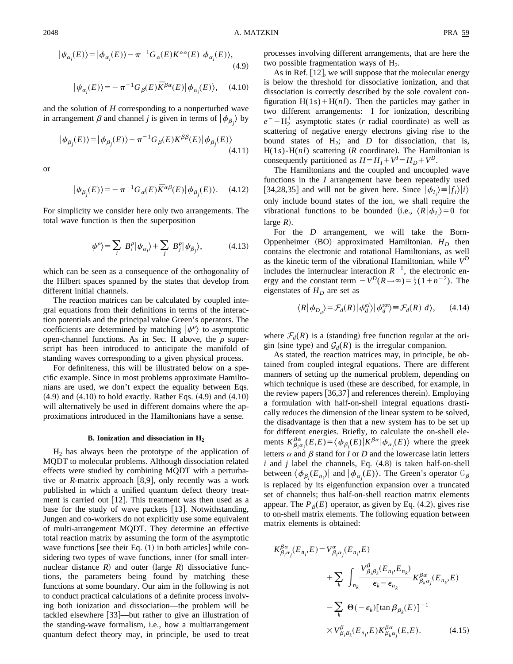$$
|\psi_{\alpha_i}(E)\rangle = |\phi_{\alpha_i}(E)\rangle - \pi^{-1} G_{\alpha}(E) K^{\alpha \alpha}(E) |\phi_{\alpha_i}(E)\rangle, \tag{4.9}
$$

$$
\big|\psi_{\alpha_i}(E)\big>=-\pi^{-1}G_{\beta}(E)\bar{K}^{\beta\alpha}(E)\big|\phi_{\alpha_i}(E)\big>,\quad \ (4.10)
$$

and the solution of *H* corresponding to a nonperturbed wave in arrangement  $\beta$  and channel *j* is given in terms of  $|\phi_{\beta_j}\rangle$  by

$$
|\psi_{\beta_j}(E)\rangle = |\phi_{\beta_j}(E)\rangle - \pi^{-1} G_{\beta}(E) K^{\beta\beta}(E) |\phi_{\beta_j}(E)\rangle
$$
\n(4.11)

or

$$
|\psi_{\beta_j}(E)\rangle = -\pi^{-1}G_{\alpha}(E)\overline{K}^{\alpha\beta}(E)|\phi_{\beta_j}(E)\rangle.
$$
 (4.12)

For simplicity we consider here only two arrangements. The total wave function is then the superposition

$$
|\psi^{\rho}\rangle = \sum_{i} B_{i}^{\rho} |\psi_{\alpha_{i}}\rangle + \sum_{j} B_{j}^{\rho} |\psi_{\beta_{j}}\rangle, \qquad (4.13)
$$

which can be seen as a consequence of the orthogonality of the Hilbert spaces spanned by the states that develop from different initial channels.

The reaction matrices can be calculated by coupled integral equations from their definitions in terms of the interaction potentials and the principal value Green's operators. The coefficients are determined by matching  $|\psi^{\rho}\rangle$  to asymptotic open-channel functions. As in Sec. II above, the  $\rho$  superscript has been introduced to anticipate the manifold of standing waves corresponding to a given physical process.

For definiteness, this will be illustrated below on a specific example. Since in most problems approximate Hamiltonians are used, we don't expect the equality between Eqs.  $(4.9)$  and  $(4.10)$  to hold exactly. Rather Eqs.  $(4.9)$  and  $(4.10)$ will alternatively be used in different domains where the approximations introduced in the Hamiltonians have a sense.

### **B. Ionization and dissociation in H2**

 $H<sub>2</sub>$  has always been the prototype of the application of MQDT to molecular problems. Although dissociation related effects were studied by combining MQDT with a perturbative or *R*-matrix approach [8,9], only recently was a work published in which a unified quantum defect theory treatment is carried out  $[12]$ . This treatment was then used as a base for the study of wave packets  $[13]$ . Notwithstanding, Jungen and co-workers do not explicitly use some equivalent of multi-arrangement MQDT. They determine an effective total reaction matrix by assuming the form of the asymptotic wave functions [see their Eq.  $(1)$  in both articles] while considering two types of wave functions, inner (for small internuclear distance  $R$ ) and outer (large  $R$ ) dissociative functions, the parameters being found by matching these functions at some boundary. Our aim in the following is not to conduct practical calculations of a definite process involving both ionization and dissociation—the problem will be tackled elsewhere  $|33|$ —but rather to give an illustration of the standing-wave formalism, i.e., how a multiarrangement quantum defect theory may, in principle, be used to treat processes involving different arrangements, that are here the two possible fragmentation ways of  $H<sub>2</sub>$ .

As in Ref.  $[12]$ , we will suppose that the molecular energy is below the threshold for dissociative ionization, and that dissociation is correctly described by the sole covalent configuration  $H(1s) + H(nl)$ . Then the particles may gather in two different arrangements: I for ionization, describing  $e^- - H_2^+$  asymptotic states (*r* radial coordinate) as well as scattering of negative energy electrons giving rise to the bound states of  $H_2$ ; and  $D$  for dissociation, that is,  $H(1s)$ - $H(nl)$  scattering ( $R$  coordinate). The Hamiltonian is consequently partitioned as  $H = H_I + V^I = H_D + V^D$ .

The Hamiltonians and the coupled and uncoupled wave functions in the *I* arrangement have been repeatedly used [34,28,35] and will not be given here. Since  $|\phi_{I_i}\rangle = |f_i\rangle|i\rangle$ only include bound states of the ion, we shall require the vibrational functions to be bounded (i.e.,  $\langle R | \phi_{I_i} \rangle = 0$  for large  $R$ ).

For the *D* arrangement, we will take the Born-Oppenheimer  $(BO)$  approximated Hamiltonian.  $H_D$  then contains the electronic and rotational Hamiltonians, as well as the kinetic term of the vibrational Hamiltonian, while  $V^D$ includes the internuclear interaction  $R^{-1}$ , the electronic energy and the constant term  $-V^D(R \rightarrow \infty) = \frac{1}{2}(1+n^{-2})$ . The eigenstates of  $H_D$  are set as

$$
\langle R | \phi_{D_d} \rangle = \mathcal{F}_d(R) | \phi_d^{el} \rangle | \phi_d^{\text{rot}} \rangle \equiv \mathcal{F}_d(R) | d \rangle, \qquad (4.14)
$$

where  $\mathcal{F}_d(R)$  is a (standing) free function regular at the origin (sine type) and  $\mathcal{G}_d(R)$  is the irregular companion.

As stated, the reaction matrices may, in principle, be obtained from coupled integral equations. There are different manners of setting up the numerical problem, depending on which technique is used (these are described, for example, in the review papers  $[36,37]$  and references therein). Employing a formulation with half-on-shell integral equations drastically reduces the dimension of the linear system to be solved, the disadvantage is then that a new system has to be set up for different energies. Briefly, to calculate the on-shell elements  $K_{\beta_i^{\alpha_i}}^{\beta_{\alpha}}(E,E) = \langle \phi_{\beta_i}(E) | K^{\beta \alpha} | \phi_{\alpha_j}(E) \rangle$  where the greek letters  $\alpha$  and  $\beta$  stand for *I* or *D* and the lowercase latin letters  $i$  and  $j$  label the channels, Eq.  $(4.8)$  is taken half-on-shell between  $\langle \phi_{\beta_i}(E_{n_i}) |$  and  $|\phi_{\alpha_j}(E)\rangle$ . The Green's operator  $G_{\beta}$ is replaced by its eigenfunction expansion over a truncated set of channels; thus half-on-shell reaction matrix elements appear. The  $P_{\beta}(E)$  operator, as given by Eq. (4.2), gives rise to on-shell matrix elements. The following equation between matrix elements is obtained:

$$
K^{\beta\alpha}_{\beta_i\alpha_j}(E_{n_i}, E) = V^{\alpha}_{\beta_i\alpha_j}(E_{n_i}, E)
$$
  
+ 
$$
\sum_{k} \int_{n_k} \frac{V^{\beta}_{\beta_i\beta_k}(E_{n_i}, E_{n_k})}{\epsilon_k - \epsilon_{n_k}} K^{\beta\alpha}_{\beta_k\alpha_j}(E_{n_k}, E)
$$
  
- 
$$
\sum_{k} \Theta(-\epsilon_k) [\tan \beta_{\beta_k}(E)]^{-1}
$$
  

$$
\times V^{\beta}_{\beta_i\beta_k}(E_{n_i}, E) K^{\beta\alpha}_{\beta_k\alpha_j}(E, E). \qquad (4.15)
$$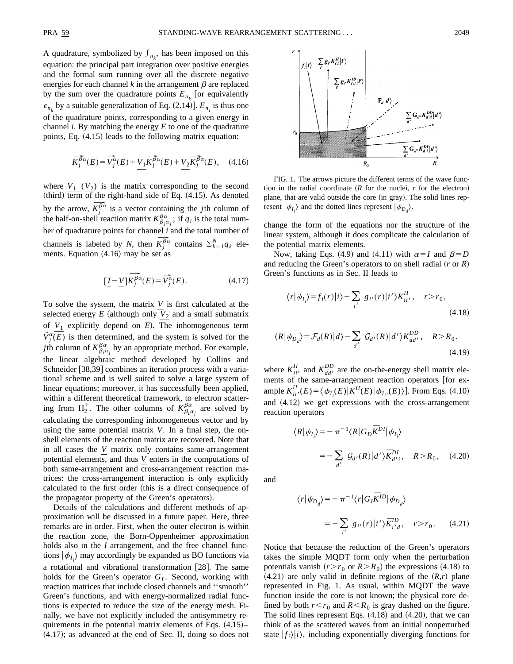A quadrature, symbolized by  $f_{n_k}$ , has been imposed on this equation: the principal part integration over positive energies and the formal sum running over all the discrete negative energies for each channel  $k$  in the arrangement  $\beta$  are replaced by the sum over the quadrature points  $E_{n_k}$  [or equivalently  $\epsilon_{n_k}$  by a suitable generalization of Eq. (2.14)].  $E_{n_k}$  is thus one of the quadrature points, corresponding to a given energy in channel *i*. By matching the energy *E* to one of the quadrature points, Eq.  $(4.15)$  leads to the following matrix equation:

$$
\overline{K_j^{\beta\alpha}}(E) = \overline{V_j^{\alpha}}(E) + \underbrace{V_1 \overline{K_j^{\beta\alpha}}(E)} + \underbrace{V_2 \overline{K_j^{\beta\alpha}}(E)}_{,} \quad (4.16)
$$

where  $V_1$  ( $V_2$ ) is the matrix corresponding to the second (third)  $\overline{\text{term}}$  of the right-hand side of Eq. (4.15). As denoted by the arrow,  $\overline{K}_i^{\overline{\beta}\alpha}$  is a vector containing the *j*th column of the half-on-shell reaction matrix  $K^{\beta\alpha}_{\beta_i\alpha_j}$ ; if  $q_i$  is the total number of quadrature points for channel *i* and the total number of channels is labeled by *N*, then  $\overline{K_j^{\beta\alpha}}$  contains  $\sum_{k=1}^N q_k$  elements. Equation  $(4.16)$  may be set as

$$
\left[\underline{I} - \underline{V}\right] \overbrace{K_j^{\beta \alpha}}^{\widehat{\beta \alpha}}(E) = \overline{V_j^{\alpha}}(E). \tag{4.17}
$$

To solve the system, the matrix *V* is first calculated at the selected energy  $E$  (although only  $V_2$  and a small submatrix of  $V_1$  explicitly depend on  $E$ ). The inhomogeneous term  $\vec{V}^{\alpha}_{j}(E)$  is then determined, and the system is solved for the *j*th column of  $K^{\beta\alpha}_{\beta_i\alpha_j}$  by an appropriate method. For example, the linear algebraic method developed by Collins and Schneider [38,39] combines an iteration process with a variational scheme and is well suited to solve a large system of linear equations; moreover, it has successfully been applied, within a different theoretical framework, to electron scattering from  $H_2^+$ . The other columns of  $K_{\beta_i \alpha_j}^{\beta \alpha}$  are solved by calculating the corresponding inhomogeneous vector and by using the same potential matrix *V*. In a final step, the onshell elements of the reaction matrix are recovered. Note that in all cases the *V* matrix only contains same-arrangement potential elements, and thus *V* enters in the computations of both same-arrangement and cross-arrangement reaction matrices: the cross-arrangement interaction is only explicitly calculated to the first order (this is a direct consequence of the propagator property of the Green's operators).

Details of the calculations and different methods of approximation will be discussed in a future paper. Here, three remarks are in order. First, when the outer electron is within the reaction zone, the Born-Oppenheimer approximation holds also in the *I* arrangement, and the free channel functions  $|\phi_{I_i}\rangle$  may accordingly be expanded as BO functions via a rotational and vibrational transformation [28]. The same holds for the Green's operator  $G_I$ . Second, working with reaction matrices that include closed channels and ''smooth'' Green's functions, and with energy-normalized radial functions is expected to reduce the size of the energy mesh. Finally, we have not explicitly included the antisymmetry requirements in the potential matrix elements of Eqs.  $(4.15)$ –  $(4.17)$ ; as advanced at the end of Sec. II, doing so does not



FIG. 1. The arrows picture the different terms of the wave function in the radial coordinate  $(R$  for the nuclei,  $r$  for the electron) plane, that are valid outside the core (in gray). The solid lines represent  $|\psi_{I_i}\rangle$  and the dotted lines represent  $|\psi_{D_d}\rangle$ .

change the form of the equations nor the structure of the linear system, although it does complicate the calculation of the potential matrix elements.

Now, taking Eqs. (4.9) and (4.11) with  $\alpha=I$  and  $\beta=D$ and reducing the Green's operators to on shell radial  $(r \text{ or } R)$ Green's functions as in Sec. II leads to

$$
\langle r|\psi_{I_i}\rangle = f_i(r)|i\rangle - \sum_{i'} g_{i'}(r)|i'\rangle K_{ii'}^{II}, \quad r > r_0,
$$
\n(4.18)

$$
\langle R|\psi_{D_d}\rangle = \mathcal{F}_d(R)|d\rangle - \sum_{d'} \mathcal{G}_{d'}(R)|d'\rangle K_{dd'}^{DD}, \quad R > R_0.
$$
\n(4.19)

where  $K_{ii'}^{II}$  and  $K_{dd'}^{DD}$  are the on-the-energy shell matrix elements of the same-arrangement reaction operators [for example  $K_{ii'}^{II}(E) = \langle \phi_{I_i}(E) | K^{II}(E) | \phi_{I_{i'}}(E) \rangle$ ]. From Eqs. (4.10) and  $(4.12)$  we get expressions with the cross-arrangement reaction operators

$$
\langle R | \psi_{I_i} \rangle = -\pi^{-1} \langle R | G_D \overline{K}^{DI} | \phi_{I_i} \rangle
$$
  
= 
$$
-\sum_{d'} \mathcal{G}_{d'}(R) | d' \rangle \overline{K}^{DI}_{d'i}, \quad R > R_0, \quad (4.20)
$$

and

$$
\langle r | \psi_{D_d} \rangle = -\pi^{-1} \langle r | G_I \overline{K}^{ID} | \phi_{D_d} \rangle
$$
  

$$
= -\sum_{i'} g_{i'}(r) | i' \rangle \overline{K}^{ID}_{i'd}, \quad r > r_0. \tag{4.21}
$$

Notice that because the reduction of the Green's operators takes the simple MQDT form only when the perturbation potentials vanish  $(r>r_0$  or  $R>R_0$ ) the expressions (4.18) to  $(4.21)$  are only valid in definite regions of the  $(R,r)$  plane represented in Fig. 1. As usual, within MQDT the wave function inside the core is not known; the physical core defined by both  $r < r_0$  and  $R < R_0$  is gray dashed on the figure. The solid lines represent Eqs.  $(4.18)$  and  $(4.20)$ , that we can think of as the scattered waves from an initial nonperturbed state  $|f_i\rangle|i\rangle$ , including exponentially diverging functions for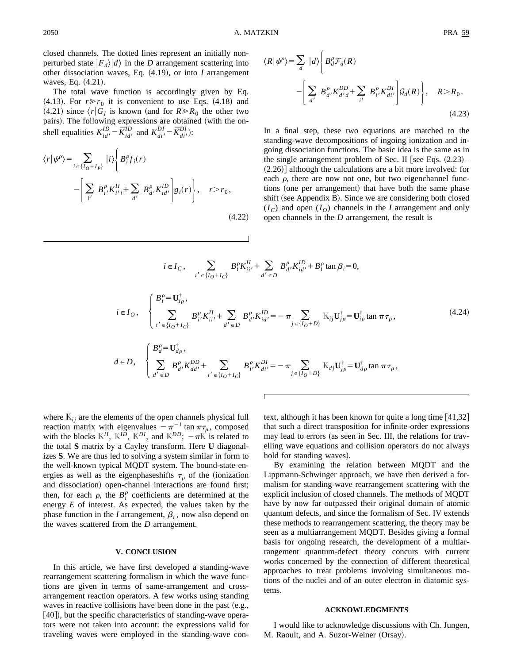closed channels. The dotted lines represent an initially nonperturbed state  $|F_d\rangle|d\rangle$  in the *D* arrangement scattering into other dissociation waves, Eq.  $(4.19)$ , or into *I* arrangement waves, Eq.  $(4.21)$ .

The total wave function is accordingly given by Eq.  $(4.13)$ . For  $r \gg r_0$  it is convenient to use Eqs.  $(4.18)$  and  $(4.21)$  since  $\langle r|G_I$  is known (and for  $R \gg R_0$  the other two pairs). The following expressions are obtained (with the onshell equalities  $K_{id'}^{ID} = \overline{K}_{id'}^{ID}$  and  $K_{di'}^{DI} = \overline{K}_{di'}^{DI}$ ):

$$
\langle r|\psi^{\rho}\rangle = \sum_{i \in \{I_O + I_P\}} |i\rangle \Bigg\{ B_i^{\rho} f_i(r) - \Bigg[ \sum_{i'} B_{i'}^{\rho} K_{i'i}^{II} + \sum_{d'} B_{d'}^{\rho} K_{id'}^{ID} \Bigg] g_i(r) \Bigg\}, \quad r > r_0,
$$
\n(4.22)

$$
\langle R | \psi^{\rho} \rangle = \sum_{d} |d \rangle \left\{ B_{d}^{\rho} \mathcal{F}_{d}(R) - \left[ \sum_{d'} B_{d'}^{\rho} K_{d'd}^{DD} + \sum_{i'} B_{i'}^{\rho} K_{di'}^{DI} \right] \mathcal{G}_{d}(R) \right\}, \quad R > R_{0}.
$$
\n(4.23)

In a final step, these two equations are matched to the standing-wave decompositions of ingoing ionization and ingoing dissociation functions. The basic idea is the same as in the single arrangement problem of Sec. II [see Eqs.  $(2.23)$ –  $(2.26)$ ] although the calculations are a bit more involved: for each  $\rho$ , there are now not one, but two eigenchannel functions (one per arrangement) that have both the same phase shift (see Appendix B). Since we are considering both closed  $(I_C)$  and open  $(I_O)$  channels in the *I* arrangement and only open channels in the *D* arrangement, the result is

$$
i \in I_C, \sum_{i' \in \{I_O + I_C\}} B_i^{\rho} K_{ii'}^{II} + \sum_{d' \in D} B_{d'}^{\rho} K_{id'}^{ID} + B_i^{\rho} \tan \beta_i = 0,
$$
  
\n
$$
i \in I_O, \begin{cases} B_i^{\rho} = \mathbf{U}_{i\rho}^{\dagger}, \\ \sum_{i' \in \{I_O + I_C\}} B_{i'}^{\rho} K_{ii'}^{II} + \sum_{d' \in D} B_{d'}^{\rho} K_{id'}^{ID} = -\pi \sum_{j \in \{I_O + D\}} \mathbb{K}_{ij} \mathbf{U}_{j\rho}^{\dagger} = \mathbf{U}_{i\rho}^{\dagger} \tan \pi \tau_{\rho}, \end{cases}
$$
  
\n
$$
d \in D, \begin{cases} B_d^{\rho} = \mathbf{U}_{d\rho}^{\dagger}, \\ \sum_{d' \in D} B_{d'}^{\rho} K_{dd'}^{DD} + \sum_{i' \in \{I_O + I_C\}} B_{i'}^{\rho} K_{di'}^{DI} = -\pi \sum_{j \in \{I_O + D\}} \mathbb{K}_{dj} \mathbf{U}_{j\rho}^{\dagger} = \mathbf{U}_{d\rho}^{\dagger} \tan \pi \tau_{\rho}, \end{cases}
$$
\n(4.24)

where  $K_{ij}$  are the elements of the open channels physical full reaction matrix with eigenvalues  $-\pi^{-1}$  tan  $\pi\tau_\rho$ , composed with the blocks  $K^{II}$ ,  $K^{ID}$ ,  $K^{DI}$ , and  $K^{DD}$ ;  $-\pi K$  is related to the total **S** matrix by a Cayley transform. Here **U** diagonalizes **S**. We are thus led to solving a system similar in form to the well-known typical MQDT system. The bound-state energies as well as the eigenphases hifts  $\tau<sub>o</sub>$  of the (ionization and dissociation) open-channel interactions are found first; then, for each  $\rho$ , the  $B_i^{\rho}$  coefficients are determined at the energy *E* of interest. As expected, the values taken by the phase function in the *I* arrangement,  $\beta$ <sub>*i*</sub>, now also depend on the waves scattered from the *D* arrangement.

#### **V. CONCLUSION**

In this article, we have first developed a standing-wave rearrangement scattering formalism in which the wave functions are given in terms of same-arrangement and crossarrangement reaction operators. A few works using standing waves in reactive collisions have been done in the past  $(e.g.,)$  $(40)$ , but the specific characteristics of standing-wave operators were not taken into account: the expressions valid for traveling waves were employed in the standing-wave context, although it has been known for quite a long time  $[41,32]$ that such a direct transposition for infinite-order expressions may lead to errors (as seen in Sec. III, the relations for travelling wave equations and collision operators do not always hold for standing waves).

By examining the relation between MQDT and the Lippmann-Schwinger approach, we have then derived a formalism for standing-wave rearrangement scattering with the explicit inclusion of closed channels. The methods of MQDT have by now far outpassed their original domain of atomic quantum defects, and since the formalism of Sec. IV extends these methods to rearrangement scattering, the theory may be seen as a multiarrangement MQDT. Besides giving a formal basis for ongoing research, the development of a multiarrangement quantum-defect theory concurs with current works concerned by the connection of different theoretical approaches to treat problems involving simultaneous motions of the nuclei and of an outer electron in diatomic systems.

#### **ACKNOWLEDGMENTS**

I would like to acknowledge discussions with Ch. Jungen, M. Raoult, and A. Suzor-Weiner (Orsay).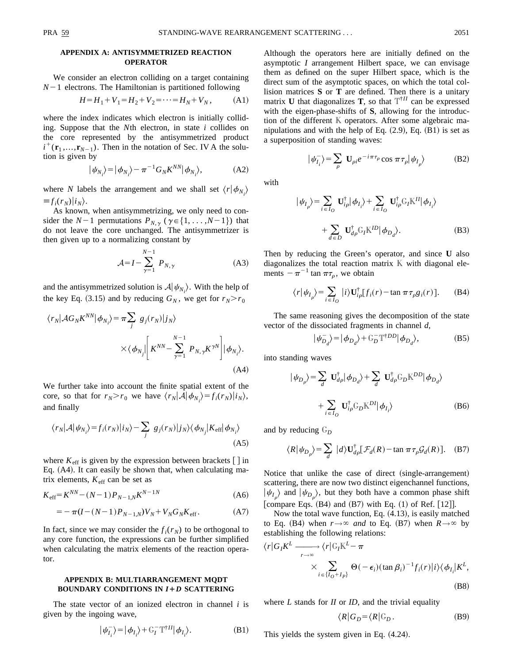### **APPENDIX A: ANTISYMMETRIZED REACTION OPERATOR**

We consider an electron colliding on a target containing  $N-1$  electrons. The Hamiltonian is partitioned following

$$
H = H_1 + V_1 = H_2 + V_2 = \dots = H_N + V_N, \tag{A1}
$$

where the index indicates which electron is initially colliding. Suppose that the *N*th electron, in state *i* collides on the core represented by the antisymmetrized product  $i^+(\mathbf{r}_1, ..., \mathbf{r}_{N-1})$ . Then in the notation of Sec. IV A the solution is given by

$$
|\psi_{N_i}\rangle = |\phi_{N_i}\rangle - \pi^{-1} G_N K^{NN} |\phi_{N_i}\rangle, \tag{A2}
$$

where *N* labels the arrangement and we shall set  $\langle r | \phi_{N_i} \rangle$  $\equiv f_i(r_N)|i_N\rangle.$ 

As known, when antisymmetrizing, we only need to consider the  $N-1$  permutations  $P_{N,\gamma}$  ( $\gamma \in \{1, \ldots, N-1\}$ ) that do not leave the core unchanged. The antisymmetrizer is then given up to a normalizing constant by

$$
\mathcal{A} = I - \sum_{\gamma=1}^{N-1} P_{N,\gamma} \tag{A3}
$$

and the antisymmetrized solution is  $A|\psi_{N_i}\rangle$ . With the help of the key Eq. (3.15) and by reducing  $G_N$ , we get for  $r_N > r_0$ 

$$
\langle r_N | \mathcal{A}G_N K^{NN} | \phi_{N_i} \rangle = \pi \sum_j g_j(r_N) |j_N \rangle
$$
  
 
$$
\times \langle \phi_{N_j} | \left[ K^{NN} - \sum_{\gamma=1}^{N-1} P_{N, \gamma} K^{\gamma N} \right] | \phi_{N_i} \rangle.
$$
 (A4)

We further take into account the finite spatial extent of the core, so that for  $r_N > r_0$  we have  $\langle r_N | A | \phi_{N_i} \rangle = f_i(r_N) |i_N \rangle$ , and finally

$$
\langle r_N | \mathcal{A} | \psi_{N_i} \rangle = f_i(r_N) |i_N \rangle - \sum_j g_j(r_N) |j_N \rangle \langle \phi_{N_j} | K_{\text{eff}} | \phi_{N_i} \rangle
$$
\n(A5)

where  $K_{\text{eff}}$  is given by the expression between brackets  $\left[\right]$  in Eq.  $(A4)$ . It can easily be shown that, when calculating matrix elements,  $K_{\text{eff}}$  can be set as

$$
K_{\text{eff}} = K^{NN} - (N - 1)P_{N-1,N}K^{N-1N} \tag{A6}
$$

$$
= -\pi (I - (N-1)P_{N-1,N})V_N + V_N G_N K_{\text{eff}}.
$$
 (A7)

In fact, since we may consider the  $f_i(r_N)$  to be orthogonal to any core function, the expressions can be further simplified when calculating the matrix elements of the reaction operator.

# **APPENDIX B: MULTIARRANGEMENT MQDT BOUNDARY CONDITIONS IN** *I*1*D* **SCATTERING**

The state vector of an ionized electron in channel *i* is given by the ingoing wave,

$$
|\psi_{I_i}^{-}\rangle = |\phi_{I_i}\rangle + \mathbb{G}_I^{-} \mathbb{T}^{\dagger II} |\phi_{I_i}\rangle.
$$
 (B1)

Although the operators here are initially defined on the asymptotic *I* arrangement Hilbert space, we can envisage them as defined on the super Hilbert space, which is the direct sum of the asymptotic spaces, on which the total collision matrices **S** or **T** are defined. Then there is a unitary matrix **U** that diagonalizes **T**, so that  $T^{\dagger H}$  can be expressed with the eigen-phase-shifts of **S**, allowing for the introduction of the different K operators. After some algebraic manipulations and with the help of Eq.  $(2.9)$ , Eq.  $(B1)$  is set as a superposition of standing waves:

$$
|\psi_{I_i}^{-}\rangle = \sum_{\rho} \mathbf{U}_{\rho i} e^{-i\pi\tau_{\rho}} \cos \pi \tau_{\rho} |\psi_{I_{\rho}}\rangle
$$
 (B2)

with

$$
|\psi_{I_{\rho}}\rangle = \sum_{i \in I_{O}} \mathbf{U}_{i\rho}^{\dagger} |\phi_{I_{i}}\rangle + \sum_{i \in I_{O}} \mathbf{U}_{i\rho}^{\dagger} \mathbf{G}_{I} \mathbf{K}^{II} |\phi_{I_{i}}\rangle
$$
  
+ 
$$
\sum_{d \in D} \mathbf{U}_{d\rho}^{\dagger} \mathbf{G}_{I} \mathbf{K}^{ID} |\phi_{D_{d}}\rangle.
$$
 (B3)

Then by reducing the Green's operator, and since **U** also diagonalizes the total reaction matrix  $K$  with diagonal elements  $-\pi^{-1}$  tan  $\pi\tau_\rho$ , we obtain

$$
\langle r | \psi_{I_{\rho}} \rangle = \sum_{i \in I_{O}} |i\rangle \mathbf{U}_{i\rho}^{\dagger} [f_i(r) - \tan \pi \tau_{\rho} g_i(r)]. \tag{B4}
$$

The same reasoning gives the decomposition of the state vector of the dissociated fragments in channel *d*,

$$
|\psi_{D_d}^-rangle = |\phi_{D_d}\rangle + \mathbb{G}_D^- \mathbb{T}^{\dagger DD} |\phi_{D_d}\rangle, \tag{B5}
$$

into standing waves

$$
\begin{aligned} |\psi_{D_{\rho}}\rangle &= \sum_{d} \mathbf{U}_{d\rho}^{\dagger} |\phi_{D_{d}}\rangle + \sum_{d} \mathbf{U}_{d\rho}^{\dagger} \mathbf{G}_{D} \mathbf{K}^{DD} |\phi_{D_{d}}\rangle \\ &+ \sum_{i \in I_{O}} \mathbf{U}_{i\rho}^{\dagger} \mathbf{G}_{D} \mathbf{K}^{DI} |\phi_{I_{i}}\rangle \end{aligned} \tag{B6}
$$

and by reducing  $G_D$ 

$$
\langle R | \psi_{D_{\rho}} \rangle = \sum_{d} |d \rangle \mathbf{U}_{d\rho}^{\dagger} [\mathcal{F}_{d}(R) - \tan \pi \tau_{\rho} \mathcal{G}_{d}(R)]. \quad (B7)
$$

Notice that unlike the case of direct (single-arrangement) scattering, there are now two distinct eigenchannel functions,  $|\psi_{I_{\rho}}\rangle$  and  $|\psi_{D_{\rho}}\rangle$ , but they both have a common phase shift [compare Eqs.  $(B4)$  and  $(B7)$  with Eq.  $(1)$  of Ref.  $[12]$ ].

Now the total wave function, Eq.  $(4.13)$ , is easily matched to Eq. (B4) when  $r \rightarrow \infty$  *and* to Eq. (B7) when  $R \rightarrow \infty$  by establishing the following relations:

$$
\langle r|G_{I}K^{L} \longrightarrow \langle r|G_{I}K^{L} - \pi
$$
  
 
$$
\times \sum_{i \in \{I_{O} + I_{P}\}} \Theta(-\epsilon_{i}) (\tan \beta_{i})^{-1} f_{i}(r)|i\rangle \langle \phi_{I_{i}}|K^{L},
$$
  
(B8)

where *L* stands for *II* or *ID*, and the trivial equality

$$
\langle R|G_D = \langle R|\mathbb{G}_D. \tag{B9}
$$

This yields the system given in Eq.  $(4.24)$ .